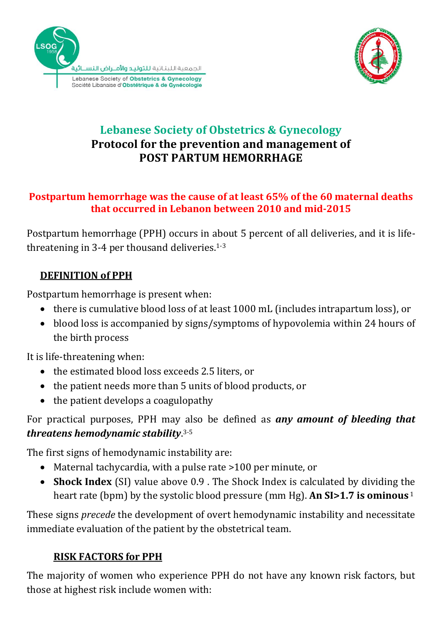



# **Lebanese Society of Obstetrics & Gynecology Protocol for the prevention and management of POST PARTUM HEMORRHAGE**

### **Postpartum hemorrhage was the cause of at least 65% of the 60 maternal deaths that occurred in Lebanon between 2010 and mid-2015**

Postpartum hemorrhage (PPH) occurs in about 5 percent of all deliveries, and it is lifethreatening in 3-4 per thousand deliveries. 1-3

# **DEFINITION of PPH**

Postpartum hemorrhage is present when:

- there is cumulative blood loss of at least 1000 mL (includes intrapartum loss), or
- blood loss is accompanied by signs/symptoms of hypovolemia within 24 hours of the birth process

It is life-threatening when:

- the estimated blood loss exceeds 2.5 liters, or
- the patient needs more than 5 units of blood products, or
- the patient develops a coagulopathy

## For practical purposes, PPH may also be defined as *any amount of bleeding that threatens hemodynamic stability*. 3-5

The first signs of hemodynamic instability are:

- Maternal tachycardia, with a pulse rate >100 per minute, or
- **Shock Index** (SI) value above 0.9 . The Shock Index is calculated by dividing the heart rate (bpm) by the systolic blood pressure (mm Hg). **An SI>1.7 is ominous** <sup>1</sup>

These signs *precede* the development of overt hemodynamic instability and necessitate immediate evaluation of the patient by the obstetrical team.

## **RISK FACTORS for PPH**

The majority of women who experience PPH do not have any known risk factors, but those at highest risk include women with: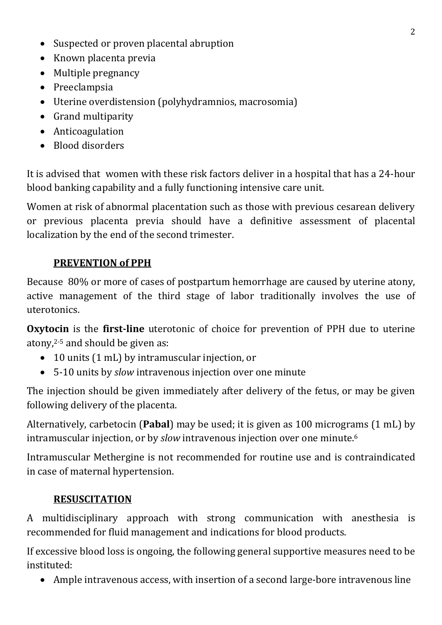- Suspected or proven placental abruption
- Known placenta previa
- Multiple pregnancy
- Preeclampsia
- Uterine overdistension (polyhydramnios, macrosomia)
- Grand multiparity
- Anticoagulation
- Blood disorders

It is advised that women with these risk factors deliver in a hospital that has a 24-hour blood banking capability and a fully functioning intensive care unit.

Women at risk of abnormal placentation such as those with previous cesarean delivery or previous placenta previa should have a definitive assessment of placental localization by the end of the second trimester.

## **PREVENTION of PPH**

Because 80% or more of cases of postpartum hemorrhage are caused by uterine atony, active management of the third stage of labor traditionally involves the use of uterotonics.

**Oxytocin** is the **first-line** uterotonic of choice for prevention of PPH due to uterine atony, 2-5 and should be given as:

- 10 units (1 mL) by intramuscular injection, or
- 5-10 units by *slow* intravenous injection over one minute

The injection should be given immediately after delivery of the fetus, or may be given following delivery of the placenta.

Alternatively, carbetocin (**Pabal**) may be used; it is given as 100 micrograms (1 mL) by intramuscular injection, or by *slow* intravenous injection over one minute. 6

Intramuscular Methergine is not recommended for routine use and is contraindicated in case of maternal hypertension.

### **RESUSCITATION**

A multidisciplinary approach with strong communication with anesthesia is recommended for fluid management and indications for blood products.

If excessive blood loss is ongoing, the following general supportive measures need to be instituted:

Ample intravenous access, with insertion of a second large-bore intravenous line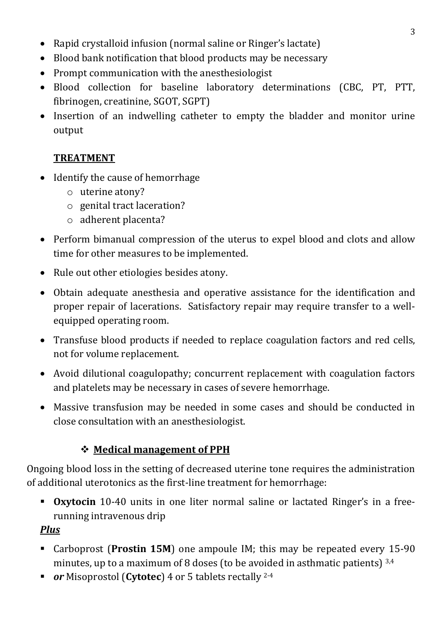- Rapid crystalloid infusion (normal saline or Ringer's lactate)
- Blood bank notification that blood products may be necessary
- Prompt communication with the anesthesiologist
- Blood collection for baseline laboratory determinations (CBC, PT, PTT, fibrinogen, creatinine, SGOT, SGPT)
- Insertion of an indwelling catheter to empty the bladder and monitor urine output

# **TREATMENT**

- Identify the cause of hemorrhage
	- o uterine atony?
	- o genital tract laceration?
	- o adherent placenta?
- Perform bimanual compression of the uterus to expel blood and clots and allow time for other measures to be implemented.
- Rule out other etiologies besides atony.
- Obtain adequate anesthesia and operative assistance for the identification and proper repair of lacerations. Satisfactory repair may require transfer to a wellequipped operating room.
- Transfuse blood products if needed to replace coagulation factors and red cells, not for volume replacement.
- Avoid dilutional coagulopathy; concurrent replacement with coagulation factors and platelets may be necessary in cases of severe hemorrhage.
- Massive transfusion may be needed in some cases and should be conducted in close consultation with an anesthesiologist.

# **Medical management of PPH**

Ongoing blood loss in the setting of decreased uterine tone requires the administration of additional uterotonics as the first-line treatment for hemorrhage:

**Oxytocin** 10-40 units in one liter normal saline or lactated Ringer's in a freerunning intravenous drip

*Plus*

- Carboprost (**Prostin 15M**) one ampoule IM; this may be repeated every 15-90 minutes, up to a maximum of 8 doses (to be avoided in asthmatic patients)  $^{3,4}$
- *or* Misoprostol (**Cytotec**) 4 or 5 tablets rectally 2-4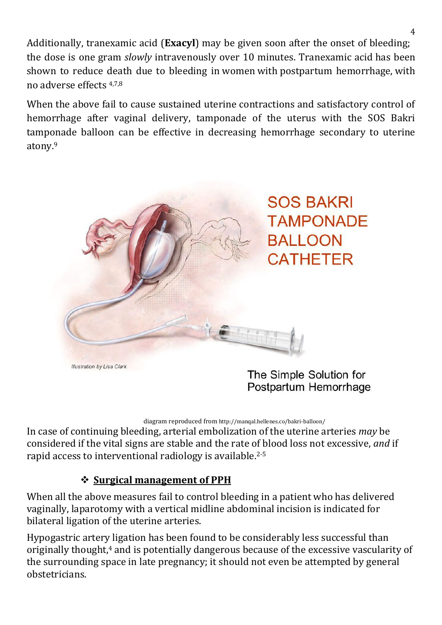Additionally, tranexamic acid (**Exacyl**) may be given soon after the onset of bleeding; the dose is one gram *slowly* intravenously over 10 minutes. Tranexamic acid has been shown to reduce death due to bleeding in women with postpartum hemorrhage, with no adverse effects 4,7,8

When the above fail to cause sustained uterine contractions and satisfactory control of hemorrhage after vaginal delivery, tamponade of the uterus with the SOS Bakri tamponade balloon can be effective in decreasing hemorrhage secondary to uterine atony. 9



Illustration by Lisa Clark

The Simple Solution for Postpartum Hemorrhage

diagram reproduced from <http://manqal.hellenes.co/bakri-balloon/>

In case of continuing bleeding, arterial embolization of the uterine arteries *may* be considered if the vital signs are stable and the rate of blood loss not excessive, *and* if rapid access to interventional radiology is available.2-5

### **Surgical management of PPH**

When all the above measures fail to control bleeding in a patient who has delivered vaginally, laparotomy with a vertical midline abdominal incision is indicated for bilateral ligation of the uterine arteries.

Hypogastric artery ligation has been found to be considerably less successful than originally thought,<sup>4</sup> and is potentially dangerous because of the excessive vascularity of the surrounding space in late pregnancy; it should not even be attempted by general obstetricians.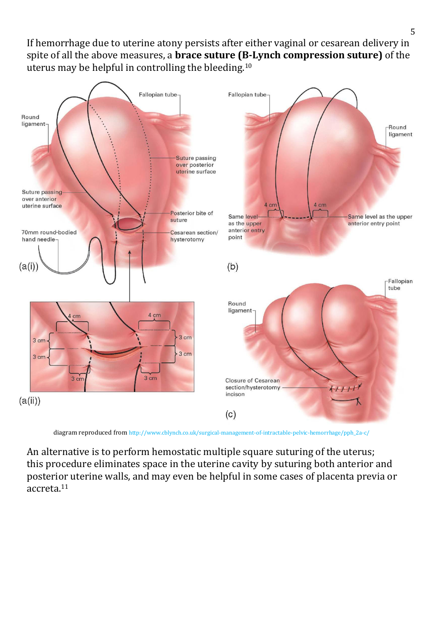If hemorrhage due to uterine atony persists after either vaginal or cesarean delivery in spite of all the above measures, a **brace suture (B-Lynch compression suture)** of the uterus may be helpful in controlling the bleeding.<sup>10</sup>



diagram reproduced from [http://www.cblynch.co.uk/surgical-management-of-intractable-pelvic-hemorrhage/pph\\_2a-c/](http://www.cblynch.co.uk/surgical-management-of-intractable-pelvic-hemorrhage/pph_2a-c/)

An alternative is to perform hemostatic multiple square suturing of the uterus; this procedure eliminates space in the uterine cavity by suturing both anterior and posterior uterine walls, and may even be helpful in some cases of placenta previa or accreta.11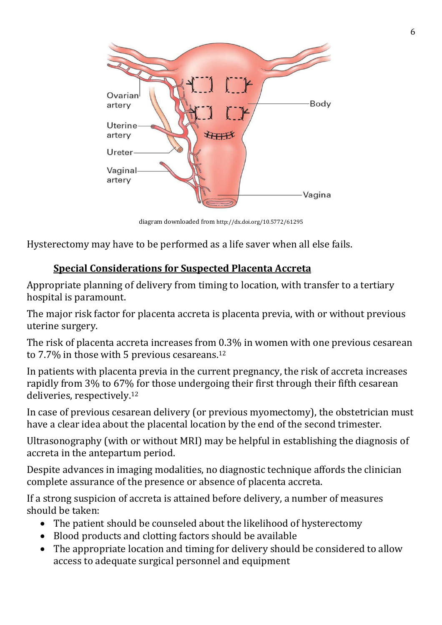

diagram downloaded from <http://dx.doi.org/10.5772/61295>

Hysterectomy may have to be performed as a life saver when all else fails.

## **Special Considerations for Suspected Placenta Accreta**

Appropriate planning of delivery from timing to location, with transfer to a tertiary hospital is paramount.

The major risk factor for placenta accreta is placenta previa, with or without previous uterine surgery.

The risk of placenta accreta increases from 0.3% in women with one previous cesarean to 7.7% in those with 5 previous cesareans.<sup>12</sup>

In patients with placenta previa in the current pregnancy, the risk of accreta increases rapidly from 3% to 67% for those undergoing their first through their fifth cesarean deliveries, respectively. 12

In case of previous cesarean delivery (or previous myomectomy), the obstetrician must have a clear idea about the placental location by the end of the second trimester.

Ultrasonography (with or without MRI) may be helpful in establishing the diagnosis of accreta in the antepartum period.

Despite advances in imaging modalities, no diagnostic technique affords the clinician complete assurance of the presence or absence of placenta accreta.

If a strong suspicion of accreta is attained before delivery, a number of measures should be taken:

- The patient should be counseled about the likelihood of hysterectomy
- Blood products and clotting factors should be available
- The appropriate location and timing for delivery should be considered to allow access to adequate surgical personnel and equipment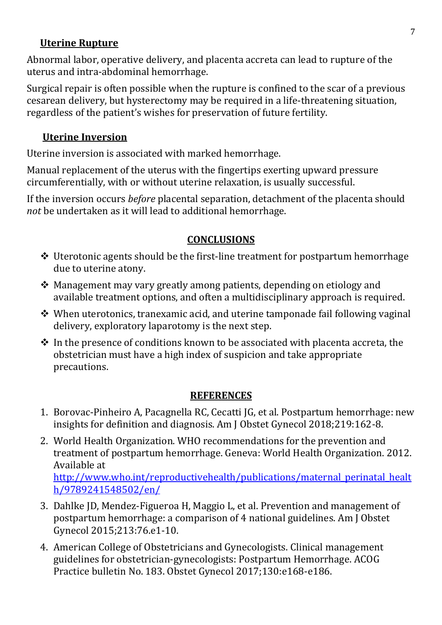#### **Uterine Rupture**

Abnormal labor, operative delivery, and placenta accreta can lead to rupture of the uterus and intra-abdominal hemorrhage.

Surgical repair is often possible when the rupture is confined to the scar of a previous cesarean delivery, but hysterectomy may be required in a life-threatening situation, regardless of the patient's wishes for preservation of future fertility.

### **Uterine Inversion**

Uterine inversion is associated with marked hemorrhage.

Manual replacement of the uterus with the fingertips exerting upward pressure circumferentially, with or without uterine relaxation, is usually successful.

If the inversion occurs *before* placental separation, detachment of the placenta should *not* be undertaken as it will lead to additional hemorrhage.

#### **CONCLUSIONS**

- ❖ Uterotonic agents should be the first-line treatment for postpartum hemorrhage due to uterine atony.
- $\triangleq$  Management may vary greatly among patients, depending on etiology and available treatment options, and often a multidisciplinary approach is required.
- When uterotonics, tranexamic acid, and uterine tamponade fail following vaginal delivery, exploratory laparotomy is the next step.
- $\cdot$  In the presence of conditions known to be associated with placenta accreta, the obstetrician must have a high index of suspicion and take appropriate precautions.

#### **REFERENCES**

- 1. Borovac-Pinheiro A, Pacagnella RC, Cecatti JG, et al. Postpartum hemorrhage: new insights for definition and diagnosis. Am J Obstet Gynecol 2018;219:162-8.
- 2. World Health Organization. WHO recommendations for the prevention and treatment of postpartum hemorrhage. Geneva: World Health Organization. 2012. Available at [http://www.who.int/reproductivehealth/publications/maternal\\_perinatal\\_healt](http://www.who.int/reproductivehealth/publications/maternal_perinatal_health/9789241548502/en/) [h/9789241548502/en/](http://www.who.int/reproductivehealth/publications/maternal_perinatal_health/9789241548502/en/)
- 3. Dahlke JD, Mendez-Figueroa H, Maggio L, et al. Prevention and management of postpartum hemorrhage: a comparison of 4 national guidelines. Am J Obstet Gynecol 2015;213:76.e1-10.
- 4. American College of Obstetricians and Gynecologists. Clinical management guidelines for obstetrician-gynecologists: Postpartum Hemorrhage. ACOG Practice bulletin No. 183. Obstet Gynecol 2017;130:e168-e186.